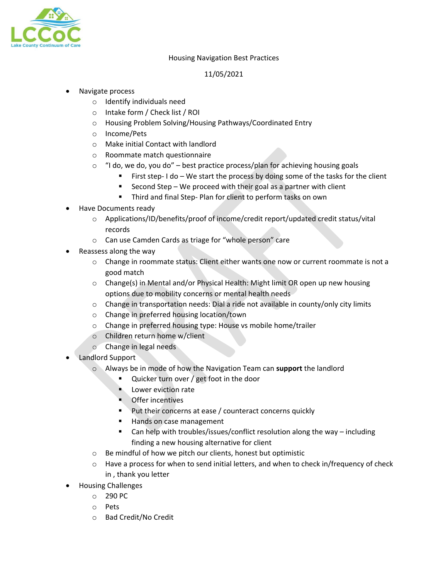

#### Housing Navigation Best Practices

## 11/05/2021

## • Navigate process

- o Identify individuals need
- o Intake form / Check list / ROI
- o Housing Problem Solving/Housing Pathways/Coordinated Entry
- o Income/Pets
- o Make initial Contact with landlord
- o Roommate match questionnaire
- $\circ$  "I do, we do, you do" best practice process/plan for achieving housing goals
	- First step- I do We start the process by doing some of the tasks for the client
	- Second Step We proceed with their goal as a partner with client
	- **Third and final Step-Plan for client to perform tasks on own**
- Have Documents ready
	- o Applications/ID/benefits/proof of income/credit report/updated credit status/vital records
	- o Can use Camden Cards as triage for "whole person" care
- Reassess along the way
	- o Change in roommate status: Client either wants one now or current roommate is not a good match
	- o Change(s) in Mental and/or Physical Health: Might limit OR open up new housing options due to mobility concerns or mental health needs
	- o Change in transportation needs: Dial a ride not available in county/only city limits
	- o Change in preferred housing location/town
	- o Change in preferred housing type: House vs mobile home/trailer
	- o Children return home w/client
	- o Change in legal needs
- Landlord Support
	- o Always be in mode of how the Navigation Team can **support** the landlord
		- **Quicker turn over / get foot in the door**
		- **Lower eviction rate**
		- **Offer incentives**
		- **Put their concerns at ease / counteract concerns quickly**
		- Hands on case management
		- Can help with troubles/issues/conflict resolution along the way including finding a new housing alternative for client
	- o Be mindful of how we pitch our clients, honest but optimistic
	- $\circ$  Have a process for when to send initial letters, and when to check in/frequency of check in , thank you letter
- Housing Challenges
	- o 290 PC
	- o Pets
	- o Bad Credit/No Credit